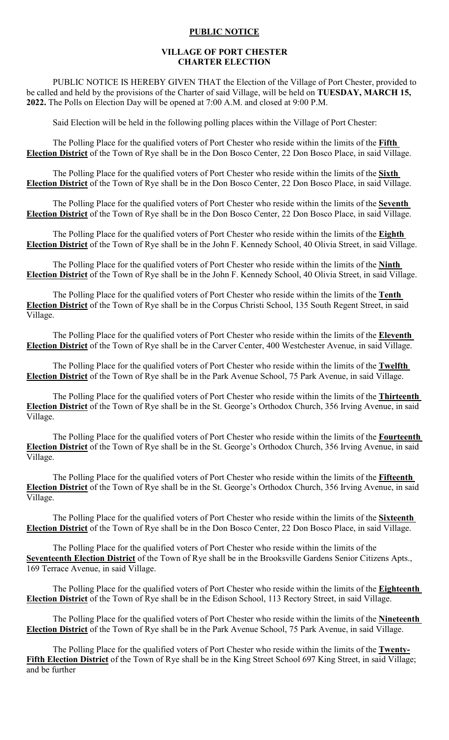## **PUBLIC NOTICE**

## **VILLAGE OF PORT CHESTER CHARTER ELECTION**

PUBLIC NOTICE IS HEREBY GIVEN THAT the Election of the Village of Port Chester, provided to be called and held by the provisions of the Charter of said Village, will be held on **TUESDAY, MARCH 15, 2022.** The Polls on Election Day will be opened at 7:00 A.M. and closed at 9:00 P.M.

Said Election will be held in the following polling places within the Village of Port Chester:

The Polling Place for the qualified voters of Port Chester who reside within the limits of the **Fifth Election District** of the Town of Rye shall be in the Don Bosco Center, 22 Don Bosco Place, in said Village.

The Polling Place for the qualified voters of Port Chester who reside within the limits of the **Sixth Election District** of the Town of Rye shall be in the Don Bosco Center, 22 Don Bosco Place, in said Village.

The Polling Place for the qualified voters of Port Chester who reside within the limits of the **Seventh Election District** of the Town of Rye shall be in the Don Bosco Center, 22 Don Bosco Place, in said Village.

The Polling Place for the qualified voters of Port Chester who reside within the limits of the **Eighth Election District** of the Town of Rye shall be in the John F. Kennedy School, 40 Olivia Street, in said Village.

The Polling Place for the qualified voters of Port Chester who reside within the limits of the **Ninth Election District** of the Town of Rye shall be in the John F. Kennedy School, 40 Olivia Street, in said Village.

The Polling Place for the qualified voters of Port Chester who reside within the limits of the **Tenth Election District** of the Town of Rye shall be in the Corpus Christi School, 135 South Regent Street, in said Village.

The Polling Place for the qualified voters of Port Chester who reside within the limits of the **Eleventh Election District** of the Town of Rye shall be in the Carver Center, 400 Westchester Avenue, in said Village.

The Polling Place for the qualified voters of Port Chester who reside within the limits of the **Twelfth Election District** of the Town of Rye shall be in the Park Avenue School, 75 Park Avenue, in said Village.

The Polling Place for the qualified voters of Port Chester who reside within the limits of the **Thirteenth Election District** of the Town of Rye shall be in the St. George's Orthodox Church, 356 Irving Avenue, in said Village.

The Polling Place for the qualified voters of Port Chester who reside within the limits of the **Fourteenth Election District** of the Town of Rye shall be in the St. George's Orthodox Church, 356 Irving Avenue, in said Village.

The Polling Place for the qualified voters of Port Chester who reside within the limits of the **Fifteenth Election District** of the Town of Rye shall be in the St. George's Orthodox Church, 356 Irving Avenue, in said Village.

The Polling Place for the qualified voters of Port Chester who reside within the limits of the **Sixteenth Election District** of the Town of Rye shall be in the Don Bosco Center, 22 Don Bosco Place, in said Village.

The Polling Place for the qualified voters of Port Chester who reside within the limits of the **Seventeenth Election District** of the Town of Rye shall be in the Brooksville Gardens Senior Citizens Apts., 169 Terrace Avenue, in said Village.

The Polling Place for the qualified voters of Port Chester who reside within the limits of the **Eighteenth Election District** of the Town of Rye shall be in the Edison School, 113 Rectory Street, in said Village.

The Polling Place for the qualified voters of Port Chester who reside within the limits of the **Nineteenth Election District** of the Town of Rye shall be in the Park Avenue School, 75 Park Avenue, in said Village.

The Polling Place for the qualified voters of Port Chester who reside within the limits of the **Twenty-Fifth Election District** of the Town of Rye shall be in the King Street School 697 King Street, in said Village; and be further